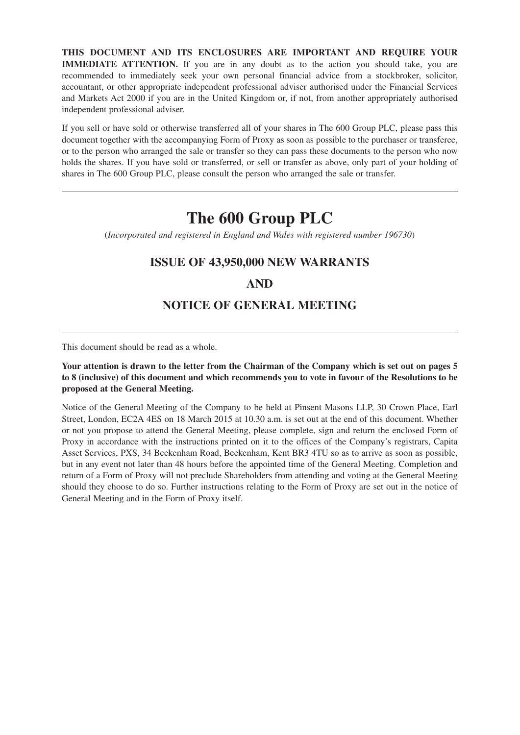**THIS DOCUMENT AND ITS ENCLOSURES ARE IMPORTANT AND REQUIRE YOUR IMMEDIATE ATTENTION.** If you are in any doubt as to the action you should take, you are recommended to immediately seek your own personal financial advice from a stockbroker, solicitor, accountant, or other appropriate independent professional adviser authorised under the Financial Services and Markets Act 2000 if you are in the United Kingdom or, if not, from another appropriately authorised independent professional adviser.

If you sell or have sold or otherwise transferred all of your shares in The 600 Group PLC, please pass this document together with the accompanying Form of Proxy as soon as possible to the purchaser or transferee, or to the person who arranged the sale or transfer so they can pass these documents to the person who now holds the shares. If you have sold or transferred, or sell or transfer as above, only part of your holding of shares in The 600 Group PLC, please consult the person who arranged the sale or transfer.

# **The 600 Group PLC**

(*Incorporated and registered in England and Wales with registered number 196730*)

# **ISSUE OF 43,950,000 NEW WARRANTS**

## **AND**

# **NOTICE OF GENERAL MEETING**

This document should be read as a whole.

### **Your attention is drawn to the letter from the Chairman of the Company which is set out on pages 5 to 8 (inclusive) of this document and which recommends you to vote in favour of the Resolutions to be proposed at the General Meeting.**

Notice of the General Meeting of the Company to be held at Pinsent Masons LLP, 30 Crown Place, Earl Street, London, EC2A 4ES on 18 March 2015 at 10.30 a.m. is set out at the end of this document. Whether or not you propose to attend the General Meeting, please complete, sign and return the enclosed Form of Proxy in accordance with the instructions printed on it to the offices of the Company's registrars, Capita Asset Services, PXS, 34 Beckenham Road, Beckenham, Kent BR3 4TU so as to arrive as soon as possible, but in any event not later than 48 hours before the appointed time of the General Meeting. Completion and return of a Form of Proxy will not preclude Shareholders from attending and voting at the General Meeting should they choose to do so. Further instructions relating to the Form of Proxy are set out in the notice of General Meeting and in the Form of Proxy itself.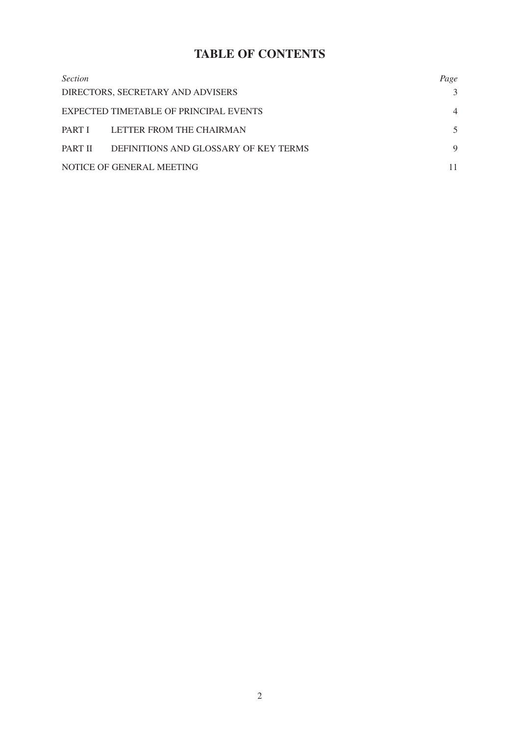# **TABLE OF CONTENTS**

| <i>Section</i> |                                        | Page           |
|----------------|----------------------------------------|----------------|
|                | DIRECTORS, SECRETARY AND ADVISERS      | 3              |
|                | EXPECTED TIMETABLE OF PRINCIPAL EVENTS | $\overline{4}$ |
|                | PART I LETTER FROM THE CHAIRMAN        | 5              |
| PART II        | DEFINITIONS AND GLOSSARY OF KEY TERMS  | 9              |
|                | NOTICE OF GENERAL MEETING              |                |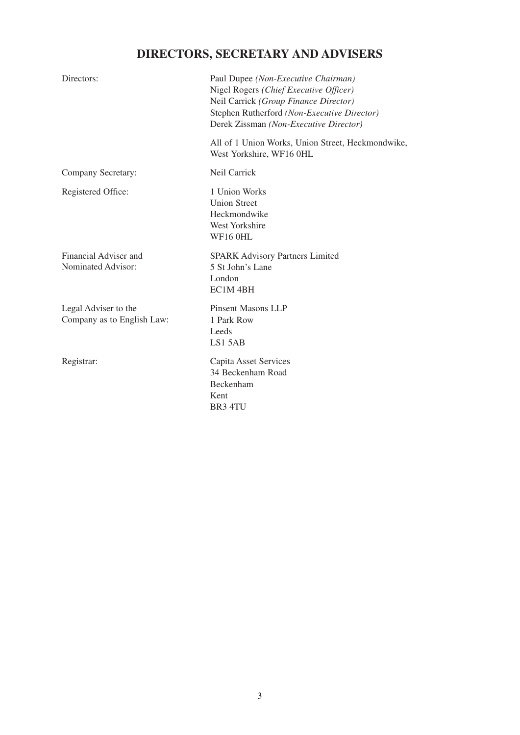# **DIRECTORS, SECRETARY AND ADVISERS**

| Directors:                                         | Paul Dupee (Non-Executive Chairman)<br>Nigel Rogers (Chief Executive Officer)<br>Neil Carrick (Group Finance Director)<br>Stephen Rutherford (Non-Executive Director)<br>Derek Zissman (Non-Executive Director) |
|----------------------------------------------------|-----------------------------------------------------------------------------------------------------------------------------------------------------------------------------------------------------------------|
|                                                    | All of 1 Union Works, Union Street, Heckmondwike,<br>West Yorkshire, WF16 0HL                                                                                                                                   |
| Company Secretary:                                 | Neil Carrick                                                                                                                                                                                                    |
| Registered Office:                                 | 1 Union Works<br><b>Union Street</b><br>Heckmondwike<br><b>West Yorkshire</b><br><b>WF16 0HL</b>                                                                                                                |
| Financial Adviser and<br>Nominated Advisor:        | <b>SPARK Advisory Partners Limited</b><br>5 St John's Lane<br>London<br>EC1M <sub>4BH</sub>                                                                                                                     |
| Legal Adviser to the<br>Company as to English Law: | <b>Pinsent Masons LLP</b><br>1 Park Row<br>Leeds<br>LS1 5AB                                                                                                                                                     |
| Registrar:                                         | Capita Asset Services<br>34 Beckenham Road<br>Beckenham<br>Kent<br>BR3 4TU                                                                                                                                      |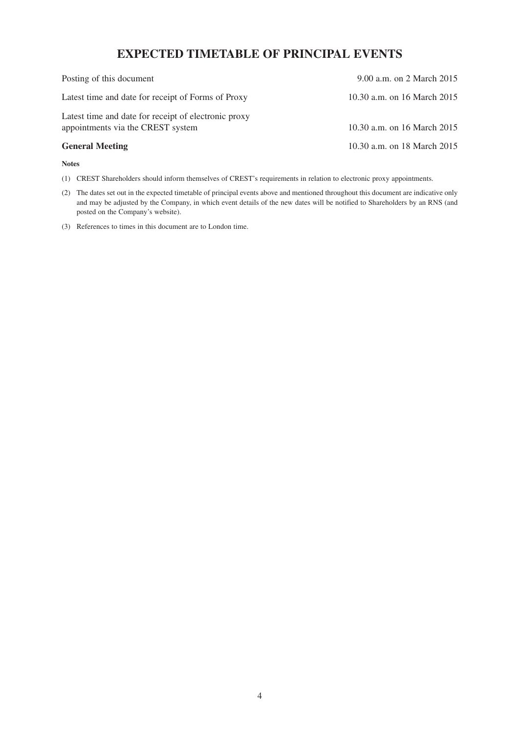# **EXPECTED TIMETABLE OF PRINCIPAL EVENTS**

| Posting of this document                                                                  | 9.00 a.m. on 2 March 2015   |
|-------------------------------------------------------------------------------------------|-----------------------------|
| Latest time and date for receipt of Forms of Proxy                                        | 10.30 a.m. on 16 March 2015 |
| Latest time and date for receipt of electronic proxy<br>appointments via the CREST system | 10.30 a.m. on 16 March 2015 |
| <b>General Meeting</b>                                                                    | 10.30 a.m. on 18 March 2015 |

#### **Notes**

(1) CREST Shareholders should inform themselves of CREST's requirements in relation to electronic proxy appointments.

- (2) The dates set out in the expected timetable of principal events above and mentioned throughout this document are indicative only and may be adjusted by the Company, in which event details of the new dates will be notified to Shareholders by an RNS (and posted on the Company's website).
- (3) References to times in this document are to London time.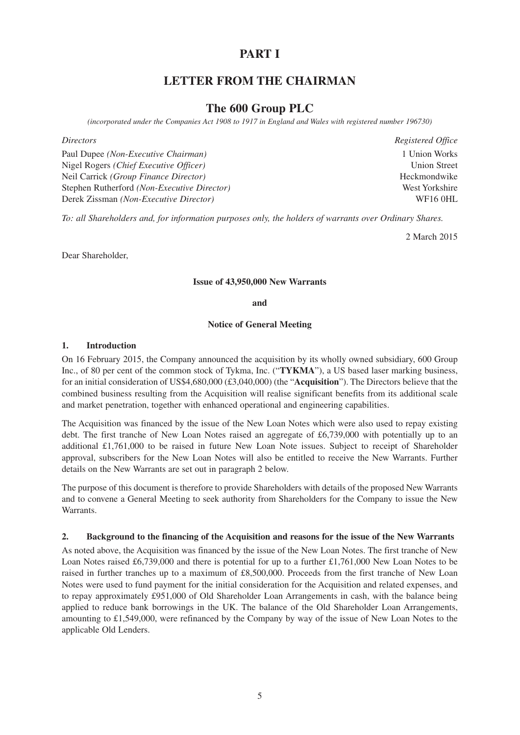## **PART I**

## **LETTER FROM THE CHAIRMAN**

## **The 600 Group PLC**

*(incorporated under the Companies Act 1908 to 1917 in England and Wales with registered number 196730)*

*Directors Registered Office* Paul Dupee *(Non-Executive Chairman)* 1 Union Works Nigel Rogers *(Chief Executive Officer)* Union Street Neil Carrick *(Group Finance Director)* Heckmondwike Stephen Rutherford *(Non-Executive Director)* West Yorkshire Derek Zissman *(Non-Executive Director)* WF16 0HL

*To: all Shareholders and, for information purposes only, the holders of warrants over Ordinary Shares.*

2 March 2015

Dear Shareholder,

#### **Issue of 43,950,000 New Warrants**

#### **and**

#### **Notice of General Meeting**

#### **1. Introduction**

On 16 February 2015, the Company announced the acquisition by its wholly owned subsidiary, 600 Group Inc., of 80 per cent of the common stock of Tykma, Inc. ("**TYKMA**"), a US based laser marking business, for an initial consideration of US\$4,680,000 (£3,040,000) (the "**Acquisition**"). The Directors believe that the combined business resulting from the Acquisition will realise significant benefits from its additional scale and market penetration, together with enhanced operational and engineering capabilities.

The Acquisition was financed by the issue of the New Loan Notes which were also used to repay existing debt. The first tranche of New Loan Notes raised an aggregate of £6,739,000 with potentially up to an additional £1,761,000 to be raised in future New Loan Note issues. Subject to receipt of Shareholder approval, subscribers for the New Loan Notes will also be entitled to receive the New Warrants. Further details on the New Warrants are set out in paragraph 2 below.

The purpose of this document is therefore to provide Shareholders with details of the proposed New Warrants and to convene a General Meeting to seek authority from Shareholders for the Company to issue the New Warrants.

#### **2. Background to the financing of the Acquisition and reasons for the issue of the New Warrants**

As noted above, the Acquisition was financed by the issue of the New Loan Notes. The first tranche of New Loan Notes raised £6,739,000 and there is potential for up to a further £1,761,000 New Loan Notes to be raised in further tranches up to a maximum of £8,500,000. Proceeds from the first tranche of New Loan Notes were used to fund payment for the initial consideration for the Acquisition and related expenses, and to repay approximately £951,000 of Old Shareholder Loan Arrangements in cash, with the balance being applied to reduce bank borrowings in the UK. The balance of the Old Shareholder Loan Arrangements, amounting to £1,549,000, were refinanced by the Company by way of the issue of New Loan Notes to the applicable Old Lenders.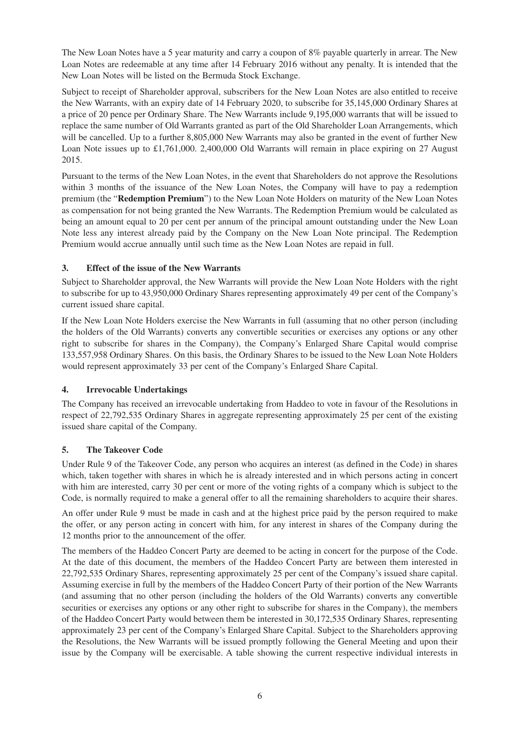The New Loan Notes have a 5 year maturity and carry a coupon of 8% payable quarterly in arrear. The New Loan Notes are redeemable at any time after 14 February 2016 without any penalty. It is intended that the New Loan Notes will be listed on the Bermuda Stock Exchange.

Subject to receipt of Shareholder approval, subscribers for the New Loan Notes are also entitled to receive the New Warrants, with an expiry date of 14 February 2020, to subscribe for 35,145,000 Ordinary Shares at a price of 20 pence per Ordinary Share. The New Warrants include 9,195,000 warrants that will be issued to replace the same number of Old Warrants granted as part of the Old Shareholder Loan Arrangements, which will be cancelled. Up to a further 8,805,000 New Warrants may also be granted in the event of further New Loan Note issues up to £1,761,000. 2,400,000 Old Warrants will remain in place expiring on 27 August 2015.

Pursuant to the terms of the New Loan Notes, in the event that Shareholders do not approve the Resolutions within 3 months of the issuance of the New Loan Notes, the Company will have to pay a redemption premium (the "**Redemption Premium**") to the New Loan Note Holders on maturity of the New Loan Notes as compensation for not being granted the New Warrants. The Redemption Premium would be calculated as being an amount equal to 20 per cent per annum of the principal amount outstanding under the New Loan Note less any interest already paid by the Company on the New Loan Note principal. The Redemption Premium would accrue annually until such time as the New Loan Notes are repaid in full.

## **3. Effect of the issue of the New Warrants**

Subject to Shareholder approval, the New Warrants will provide the New Loan Note Holders with the right to subscribe for up to 43,950,000 Ordinary Shares representing approximately 49 per cent of the Company's current issued share capital.

If the New Loan Note Holders exercise the New Warrants in full (assuming that no other person (including the holders of the Old Warrants) converts any convertible securities or exercises any options or any other right to subscribe for shares in the Company), the Company's Enlarged Share Capital would comprise 133,557,958 Ordinary Shares. On this basis, the Ordinary Shares to be issued to the New Loan Note Holders would represent approximately 33 per cent of the Company's Enlarged Share Capital.

## **4. Irrevocable Undertakings**

The Company has received an irrevocable undertaking from Haddeo to vote in favour of the Resolutions in respect of 22,792,535 Ordinary Shares in aggregate representing approximately 25 per cent of the existing issued share capital of the Company.

## **5. The Takeover Code**

Under Rule 9 of the Takeover Code, any person who acquires an interest (as defined in the Code) in shares which, taken together with shares in which he is already interested and in which persons acting in concert with him are interested, carry 30 per cent or more of the voting rights of a company which is subject to the Code, is normally required to make a general offer to all the remaining shareholders to acquire their shares.

An offer under Rule 9 must be made in cash and at the highest price paid by the person required to make the offer, or any person acting in concert with him, for any interest in shares of the Company during the 12 months prior to the announcement of the offer.

The members of the Haddeo Concert Party are deemed to be acting in concert for the purpose of the Code. At the date of this document, the members of the Haddeo Concert Party are between them interested in 22,792,535 Ordinary Shares, representing approximately 25 per cent of the Company's issued share capital. Assuming exercise in full by the members of the Haddeo Concert Party of their portion of the New Warrants (and assuming that no other person (including the holders of the Old Warrants) converts any convertible securities or exercises any options or any other right to subscribe for shares in the Company), the members of the Haddeo Concert Party would between them be interested in 30,172,535 Ordinary Shares, representing approximately 23 per cent of the Company's Enlarged Share Capital. Subject to the Shareholders approving the Resolutions, the New Warrants will be issued promptly following the General Meeting and upon their issue by the Company will be exercisable. A table showing the current respective individual interests in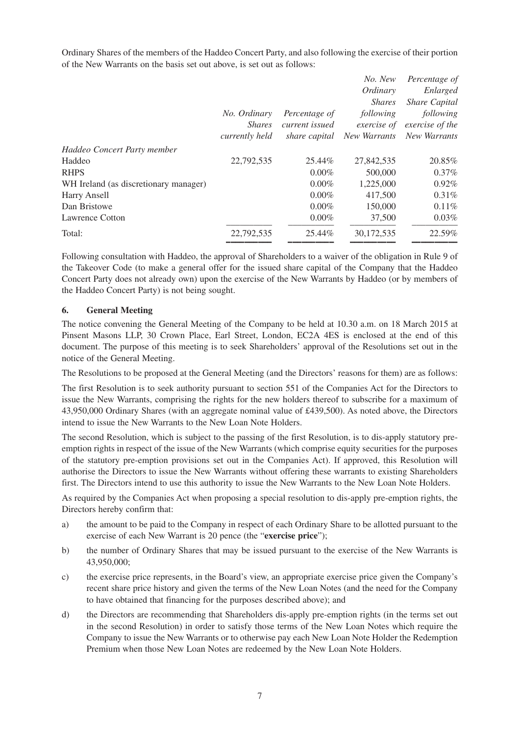Ordinary Shares of the members of the Haddeo Concert Party, and also following the exercise of their portion of the New Warrants on the basis set out above, is set out as follows:

|                                       |                |                | No. New       | Percentage of        |
|---------------------------------------|----------------|----------------|---------------|----------------------|
|                                       |                |                | Ordinary      | Enlarged             |
|                                       |                |                | <i>Shares</i> | <b>Share Capital</b> |
|                                       | No. Ordinary   | Percentage of  | following     | following            |
|                                       | <b>Shares</b>  | current issued | exercise of   | exercise of the      |
|                                       | currently held | share capital  | New Warrants  | New Warrants         |
| Haddeo Concert Party member           |                |                |               |                      |
| Haddeo                                | 22,792,535     | 25.44%         | 27,842,535    | 20.85%               |
| <b>RHPS</b>                           |                | $0.00\%$       | 500,000       | $0.37\%$             |
| WH Ireland (as discretionary manager) |                | $0.00\%$       | 1,225,000     | 0.92%                |
| Harry Ansell                          |                | $0.00\%$       | 417,500       | 0.31%                |
| Dan Bristowe                          |                | $0.00\%$       | 150,000       | 0.11%                |
| <b>Lawrence Cotton</b>                |                | $0.00\%$       | 37,500        | 0.03%                |
| Total:                                | 22,792,535     | 25.44%         | 30,172,535    | 22.59%               |
|                                       |                |                |               |                      |

Following consultation with Haddeo, the approval of Shareholders to a waiver of the obligation in Rule 9 of the Takeover Code (to make a general offer for the issued share capital of the Company that the Haddeo Concert Party does not already own) upon the exercise of the New Warrants by Haddeo (or by members of the Haddeo Concert Party) is not being sought.

### **6. General Meeting**

The notice convening the General Meeting of the Company to be held at 10.30 a.m. on 18 March 2015 at Pinsent Masons LLP, 30 Crown Place, Earl Street, London, EC2A 4ES is enclosed at the end of this document. The purpose of this meeting is to seek Shareholders' approval of the Resolutions set out in the notice of the General Meeting.

The Resolutions to be proposed at the General Meeting (and the Directors' reasons for them) are as follows:

The first Resolution is to seek authority pursuant to section 551 of the Companies Act for the Directors to issue the New Warrants, comprising the rights for the new holders thereof to subscribe for a maximum of 43,950,000 Ordinary Shares (with an aggregate nominal value of £439,500). As noted above, the Directors intend to issue the New Warrants to the New Loan Note Holders.

The second Resolution, which is subject to the passing of the first Resolution, is to dis-apply statutory preemption rights in respect of the issue of the New Warrants (which comprise equity securities for the purposes of the statutory pre-emption provisions set out in the Companies Act). If approved, this Resolution will authorise the Directors to issue the New Warrants without offering these warrants to existing Shareholders first. The Directors intend to use this authority to issue the New Warrants to the New Loan Note Holders.

As required by the Companies Act when proposing a special resolution to dis-apply pre-emption rights, the Directors hereby confirm that:

- a) the amount to be paid to the Company in respect of each Ordinary Share to be allotted pursuant to the exercise of each New Warrant is 20 pence (the "**exercise price**");
- b) the number of Ordinary Shares that may be issued pursuant to the exercise of the New Warrants is 43,950,000;
- c) the exercise price represents, in the Board's view, an appropriate exercise price given the Company's recent share price history and given the terms of the New Loan Notes (and the need for the Company to have obtained that financing for the purposes described above); and
- d) the Directors are recommending that Shareholders dis-apply pre-emption rights (in the terms set out in the second Resolution) in order to satisfy those terms of the New Loan Notes which require the Company to issue the New Warrants or to otherwise pay each New Loan Note Holder the Redemption Premium when those New Loan Notes are redeemed by the New Loan Note Holders.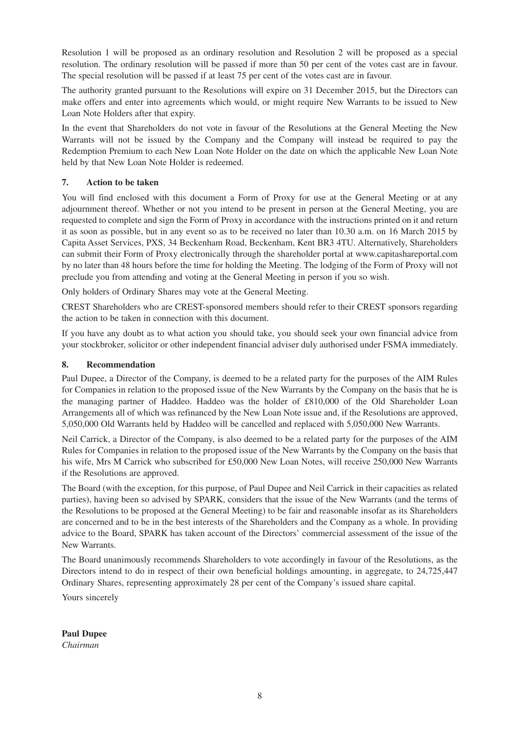Resolution 1 will be proposed as an ordinary resolution and Resolution 2 will be proposed as a special resolution. The ordinary resolution will be passed if more than 50 per cent of the votes cast are in favour. The special resolution will be passed if at least 75 per cent of the votes cast are in favour.

The authority granted pursuant to the Resolutions will expire on 31 December 2015, but the Directors can make offers and enter into agreements which would, or might require New Warrants to be issued to New Loan Note Holders after that expiry.

In the event that Shareholders do not vote in favour of the Resolutions at the General Meeting the New Warrants will not be issued by the Company and the Company will instead be required to pay the Redemption Premium to each New Loan Note Holder on the date on which the applicable New Loan Note held by that New Loan Note Holder is redeemed.

### **7. Action to be taken**

You will find enclosed with this document a Form of Proxy for use at the General Meeting or at any adjournment thereof. Whether or not you intend to be present in person at the General Meeting, you are requested to complete and sign the Form of Proxy in accordance with the instructions printed on it and return it as soon as possible, but in any event so as to be received no later than 10.30 a.m. on 16 March 2015 by Capita Asset Services, PXS, 34 Beckenham Road, Beckenham, Kent BR3 4TU. Alternatively, Shareholders can submit their Form of Proxy electronically through the shareholder portal at www.capitashareportal.com by no later than 48 hours before the time for holding the Meeting. The lodging of the Form of Proxy will not preclude you from attending and voting at the General Meeting in person if you so wish.

Only holders of Ordinary Shares may vote at the General Meeting.

CREST Shareholders who are CREST-sponsored members should refer to their CREST sponsors regarding the action to be taken in connection with this document.

If you have any doubt as to what action you should take, you should seek your own financial advice from your stockbroker, solicitor or other independent financial adviser duly authorised under FSMA immediately.

### **8. Recommendation**

Paul Dupee, a Director of the Company, is deemed to be a related party for the purposes of the AIM Rules for Companies in relation to the proposed issue of the New Warrants by the Company on the basis that he is the managing partner of Haddeo. Haddeo was the holder of £810,000 of the Old Shareholder Loan Arrangements all of which was refinanced by the New Loan Note issue and, if the Resolutions are approved, 5,050,000 Old Warrants held by Haddeo will be cancelled and replaced with 5,050,000 New Warrants.

Neil Carrick, a Director of the Company, is also deemed to be a related party for the purposes of the AIM Rules for Companies in relation to the proposed issue of the New Warrants by the Company on the basis that his wife, Mrs M Carrick who subscribed for £50,000 New Loan Notes, will receive 250,000 New Warrants if the Resolutions are approved.

The Board (with the exception, for this purpose, of Paul Dupee and Neil Carrick in their capacities as related parties), having been so advised by SPARK, considers that the issue of the New Warrants (and the terms of the Resolutions to be proposed at the General Meeting) to be fair and reasonable insofar as its Shareholders are concerned and to be in the best interests of the Shareholders and the Company as a whole. In providing advice to the Board, SPARK has taken account of the Directors' commercial assessment of the issue of the New Warrants.

The Board unanimously recommends Shareholders to vote accordingly in favour of the Resolutions, as the Directors intend to do in respect of their own beneficial holdings amounting, in aggregate, to 24,725,447 Ordinary Shares, representing approximately 28 per cent of the Company's issued share capital.

Yours sincerely

**Paul Dupee** *Chairman*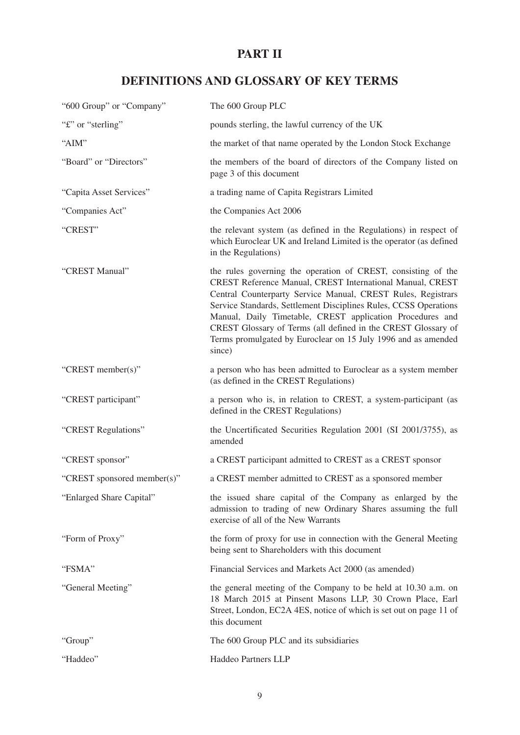# **PART II**

# **DEFINITIONS AND GLOSSARY OF KEY TERMS**

| "600 Group" or "Company"    | The 600 Group PLC                                                                                                                                                                                                                                                                                                                                                                                                                                                       |
|-----------------------------|-------------------------------------------------------------------------------------------------------------------------------------------------------------------------------------------------------------------------------------------------------------------------------------------------------------------------------------------------------------------------------------------------------------------------------------------------------------------------|
| "£" or "sterling"           | pounds sterling, the lawful currency of the UK                                                                                                                                                                                                                                                                                                                                                                                                                          |
| "AIM"                       | the market of that name operated by the London Stock Exchange                                                                                                                                                                                                                                                                                                                                                                                                           |
| "Board" or "Directors"      | the members of the board of directors of the Company listed on<br>page 3 of this document                                                                                                                                                                                                                                                                                                                                                                               |
| "Capita Asset Services"     | a trading name of Capita Registrars Limited                                                                                                                                                                                                                                                                                                                                                                                                                             |
| "Companies Act"             | the Companies Act 2006                                                                                                                                                                                                                                                                                                                                                                                                                                                  |
| "CREST"                     | the relevant system (as defined in the Regulations) in respect of<br>which Euroclear UK and Ireland Limited is the operator (as defined<br>in the Regulations)                                                                                                                                                                                                                                                                                                          |
| "CREST Manual"              | the rules governing the operation of CREST, consisting of the<br>CREST Reference Manual, CREST International Manual, CREST<br>Central Counterparty Service Manual, CREST Rules, Registrars<br>Service Standards, Settlement Disciplines Rules, CCSS Operations<br>Manual, Daily Timetable, CREST application Procedures and<br>CREST Glossary of Terms (all defined in the CREST Glossary of<br>Terms promulgated by Euroclear on 15 July 1996 and as amended<br>since) |
| "CREST member(s)"           | a person who has been admitted to Euroclear as a system member<br>(as defined in the CREST Regulations)                                                                                                                                                                                                                                                                                                                                                                 |
| "CREST participant"         | a person who is, in relation to CREST, a system-participant (as<br>defined in the CREST Regulations)                                                                                                                                                                                                                                                                                                                                                                    |
| "CREST Regulations"         | the Uncertificated Securities Regulation 2001 (SI 2001/3755), as<br>amended                                                                                                                                                                                                                                                                                                                                                                                             |
| "CREST sponsor"             | a CREST participant admitted to CREST as a CREST sponsor                                                                                                                                                                                                                                                                                                                                                                                                                |
| "CREST sponsored member(s)" | a CREST member admitted to CREST as a sponsored member                                                                                                                                                                                                                                                                                                                                                                                                                  |
| "Enlarged Share Capital"    | the issued share capital of the Company as enlarged by the<br>admission to trading of new Ordinary Shares assuming the full<br>exercise of all of the New Warrants                                                                                                                                                                                                                                                                                                      |
| "Form of Proxy"             | the form of proxy for use in connection with the General Meeting<br>being sent to Shareholders with this document                                                                                                                                                                                                                                                                                                                                                       |
| "FSMA"                      | Financial Services and Markets Act 2000 (as amended)                                                                                                                                                                                                                                                                                                                                                                                                                    |
| "General Meeting"           | the general meeting of the Company to be held at 10.30 a.m. on<br>18 March 2015 at Pinsent Masons LLP, 30 Crown Place, Earl<br>Street, London, EC2A 4ES, notice of which is set out on page 11 of<br>this document                                                                                                                                                                                                                                                      |
| "Group"                     | The 600 Group PLC and its subsidiaries                                                                                                                                                                                                                                                                                                                                                                                                                                  |
| "Haddeo"                    | Haddeo Partners LLP                                                                                                                                                                                                                                                                                                                                                                                                                                                     |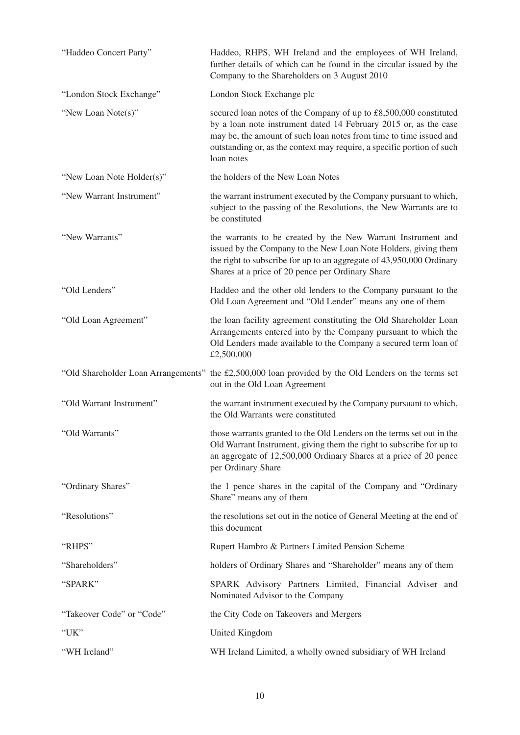| "Haddeo Concert Party"    | Haddeo, RHPS, WH Ireland and the employees of WH Ireland,<br>further details of which can be found in the circular issued by the<br>Company to the Shareholders on 3 August 2010                                                                                                                    |
|---------------------------|-----------------------------------------------------------------------------------------------------------------------------------------------------------------------------------------------------------------------------------------------------------------------------------------------------|
| "London Stock Exchange"   | London Stock Exchange plc                                                                                                                                                                                                                                                                           |
| "New Loan Note(s)"        | secured loan notes of the Company of up to £8,500,000 constituted<br>by a loan note instrument dated 14 February 2015 or, as the case<br>may be, the amount of such loan notes from time to time issued and<br>outstanding or, as the context may require, a specific portion of such<br>loan notes |
| "New Loan Note Holder(s)" | the holders of the New Loan Notes                                                                                                                                                                                                                                                                   |
| "New Warrant Instrument"  | the warrant instrument executed by the Company pursuant to which,<br>subject to the passing of the Resolutions, the New Warrants are to<br>be constituted                                                                                                                                           |
| "New Warrants"            | the warrants to be created by the New Warrant Instrument and<br>issued by the Company to the New Loan Note Holders, giving them<br>the right to subscribe for up to an aggregate of 43,950,000 Ordinary<br>Shares at a price of 20 pence per Ordinary Share                                         |
| "Old Lenders"             | Haddeo and the other old lenders to the Company pursuant to the<br>Old Loan Agreement and "Old Lender" means any one of them                                                                                                                                                                        |
| "Old Loan Agreement"      | the loan facility agreement constituting the Old Shareholder Loan<br>Arrangements entered into by the Company pursuant to which the<br>Old Lenders made available to the Company a secured term loan of<br>£2,500,000                                                                               |
|                           | "Old Shareholder Loan Arrangements" the £2,500,000 loan provided by the Old Lenders on the terms set<br>out in the Old Loan Agreement                                                                                                                                                               |
| "Old Warrant Instrument"  | the warrant instrument executed by the Company pursuant to which,<br>the Old Warrants were constituted                                                                                                                                                                                              |
| "Old Warrants"            | those warrants granted to the Old Lenders on the terms set out in the<br>Old Warrant Instrument, giving them the right to subscribe for up to<br>an aggregate of 12,500,000 Ordinary Shares at a price of 20 pence<br>per Ordinary Share                                                            |
| "Ordinary Shares"         | the 1 pence shares in the capital of the Company and "Ordinary<br>Share" means any of them                                                                                                                                                                                                          |
| "Resolutions"             | the resolutions set out in the notice of General Meeting at the end of<br>this document                                                                                                                                                                                                             |
| "RHPS"                    | Rupert Hambro & Partners Limited Pension Scheme                                                                                                                                                                                                                                                     |
| "Shareholders"            | holders of Ordinary Shares and "Shareholder" means any of them                                                                                                                                                                                                                                      |
| "SPARK"                   | SPARK Advisory Partners Limited, Financial Adviser and<br>Nominated Advisor to the Company                                                                                                                                                                                                          |
| "Takeover Code" or "Code" | the City Code on Takeovers and Mergers                                                                                                                                                                                                                                                              |
| "UK"                      | United Kingdom                                                                                                                                                                                                                                                                                      |
| "WH Ireland"              | WH Ireland Limited, a wholly owned subsidiary of WH Ireland                                                                                                                                                                                                                                         |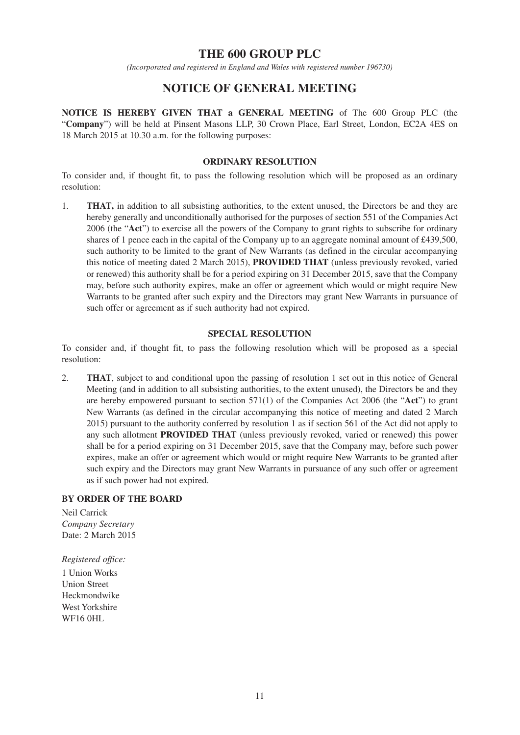## **THE 600 GROUP PLC**

*(Incorporated and registered in England and Wales with registered number 196730)*

## **NOTICE OF GENERAL MEETING**

**NOTICE IS HEREBY GIVEN THAT a GENERAL MEETING** of The 600 Group PLC (the "**Company**") will be held at Pinsent Masons LLP, 30 Crown Place, Earl Street, London, EC2A 4ES on 18 March 2015 at 10.30 a.m. for the following purposes:

#### **ORDINARY RESOLUTION**

To consider and, if thought fit, to pass the following resolution which will be proposed as an ordinary resolution:

1. **THAT,** in addition to all subsisting authorities, to the extent unused, the Directors be and they are hereby generally and unconditionally authorised for the purposes of section 551 of the Companies Act 2006 (the "**Act**") to exercise all the powers of the Company to grant rights to subscribe for ordinary shares of 1 pence each in the capital of the Company up to an aggregate nominal amount of £439,500, such authority to be limited to the grant of New Warrants (as defined in the circular accompanying this notice of meeting dated 2 March 2015), **PROVIDED THAT** (unless previously revoked, varied or renewed) this authority shall be for a period expiring on 31 December 2015, save that the Company may, before such authority expires, make an offer or agreement which would or might require New Warrants to be granted after such expiry and the Directors may grant New Warrants in pursuance of such offer or agreement as if such authority had not expired.

### **SPECIAL RESOLUTION**

To consider and, if thought fit, to pass the following resolution which will be proposed as a special resolution:

2. **THAT**, subject to and conditional upon the passing of resolution 1 set out in this notice of General Meeting (and in addition to all subsisting authorities, to the extent unused), the Directors be and they are hereby empowered pursuant to section 571(1) of the Companies Act 2006 (the "**Act**") to grant New Warrants (as defined in the circular accompanying this notice of meeting and dated 2 March 2015) pursuant to the authority conferred by resolution 1 as if section 561 of the Act did not apply to any such allotment **PROVIDED THAT** (unless previously revoked, varied or renewed) this power shall be for a period expiring on 31 December 2015, save that the Company may, before such power expires, make an offer or agreement which would or might require New Warrants to be granted after such expiry and the Directors may grant New Warrants in pursuance of any such offer or agreement as if such power had not expired.

### **BY ORDER OF THE BOARD**

Neil Carrick *Company Secretary* Date: 2 March 2015

*Registered office:*

1 Union Works Union Street Heckmondwike West Yorkshire WF16 0HL